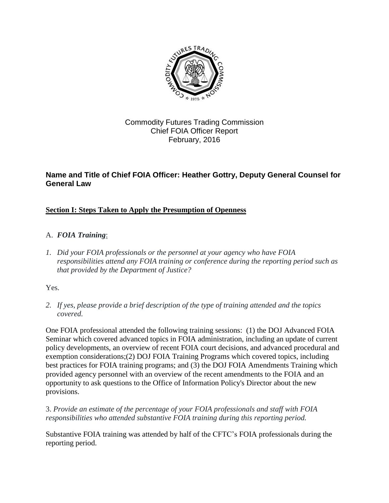

## Commodity Futures Trading Commission Chief FOIA Officer Report February, 2016

## **Name and Title of Chief FOIA Officer: Heather Gottry, Deputy General Counsel for General Law**

### **Section I: Steps Taken to Apply the Presumption of Openness**

#### A. *FOIA Training*:

*1. Did your FOIA professionals or the personnel at your agency who have FOIA responsibilities attend any FOIA training or conference during the reporting period such as that provided by the Department of Justice?* 

Yes.

*2. If yes, please provide a brief description of the type of training attended and the topics covered.* 

 policy developments, an overview of recent FOIA court decisions, and advanced procedural and One FOIA professional attended the following training sessions: (1) the DOJ Advanced FOIA Seminar which covered advanced topics in FOIA administration, including an update of current exemption considerations;(2) DOJ FOIA Training Programs which covered topics, including best practices for FOIA training programs; and (3) the DOJ FOIA Amendments Training which provided agency personnel with an overview of the recent amendments to the FOIA and an opportunity to ask questions to the Office of Information Policy's Director about the new provisions.

 *responsibilities who attended substantive FOIA training during this reporting period.* 3. *Provide an estimate of the percentage of your FOIA professionals and staff with FOIA* 

 Substantive FOIA training was attended by half of the CFTC's FOIA professionals during the reporting period.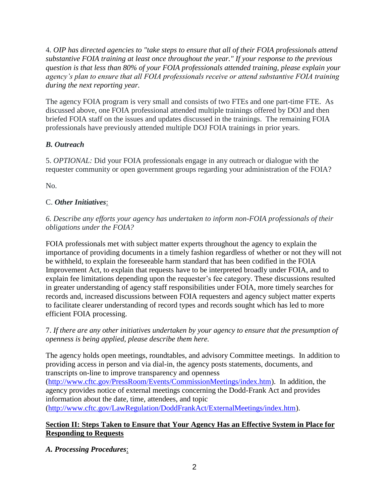4*. OIP has [directed agencies](http://www.justice.gov/oip/oip-guidance-9) to "take steps to ensure that all of their FOIA professionals attend substantive FOIA training at least once throughout the year." If your response to the previous question is that less than 80% of your FOIA professionals attended training, please explain your agency's plan to ensure that all FOIA professionals receive or attend substantive FOIA training during the next reporting year.* 

 The agency FOIA program is very small and consists of two FTEs and one part-time FTE. As professionals have previously attended multiple DOJ FOIA trainings in prior years. discussed above, one FOIA professional attended multiple trainings offered by DOJ and then briefed FOIA staff on the issues and updates discussed in the trainings. The remaining FOIA

#### *B. Outreach*

5. *OPTIONAL:* Did your FOIA professionals engage in any outreach or dialogue with the requester community or open government groups regarding your administration of the FOIA?

No.

### C. *Other Initiatives*:

 *obligations under the FOIA? 6. Describe any efforts your agency has undertaken to inform non-FOIA professionals of their* 

 explain fee limitations depending upon the requester's fee category. These discussions resulted in greater understanding of agency staff responsibilities under FOIA, more timely searches for FOIA professionals met with subject matter experts throughout the agency to explain the importance of providing documents in a timely fashion regardless of whether or not they will not be withheld, to explain the foreseeable harm standard that has been codified in the FOIA Improvement Act, to explain that requests have to be interpreted broadly under FOIA, and to records and, increased discussions between FOIA requesters and agency subject matter experts to facilitate clearer understanding of record types and records sought which has led to more efficient FOIA processing.

 *openness is being applied, please describe them here.*  7. *If there are any other initiatives undertaken by your agency to ensure that the presumption of* 

 The agency holds open meetings, roundtables, and advisory Committee meetings. In addition to providing access in person and via dial-in, the agency posts statements, documents, and transcripts on-line to improve transparency and openness

[\(http://www.cftc.gov/PressRoom/Events/CommissionMeetings/index.htm\)](http://www.cftc.gov/PressRoom/Events/CommissionMeetings/index.htm). In addition, the agency provides notice of external meetings concerning the Dodd-Frank Act and provides information about the date, time, attendees, and topic

[\(http://www.cftc.gov/LawRegulation/DoddFrankAct/ExternalMeetings/index.htm\)](http://www.cftc.gov/LawRegulation/DoddFrankAct/ExternalMeetings/index.htm).

#### **Section II: Steps Taken to Ensure that Your Agency Has an Effective System in Place for Responding to Requests**

*A. Processing Procedures*: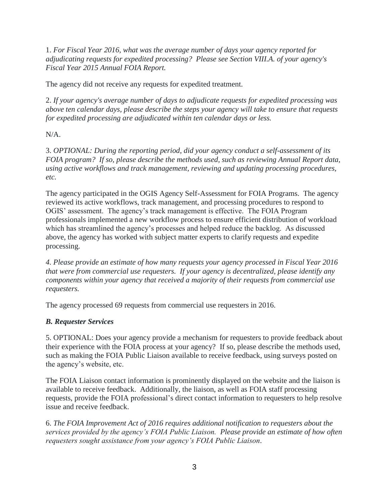*adjudicating requests for expedited processing? Please see Section VIII.A. of your agency's*  1. *For Fiscal Year 2016, what was the average number of days your agency reported for Fiscal Year 2015 Annual FOIA Report.* 

The agency did not receive any requests for expedited treatment.

 *for expedited processing are adjudicated within ten calendar days or less.* 2. *If your agency's average number of days to adjudicate requests for expedited processing was above ten calendar days, please describe the steps your agency will take to ensure that requests* 

 $N/A$ .

 *FOIA program? If so, please describe the methods used, such as reviewing Annual Report data, etc.* 3. *OPTIONAL: During the reporting period, did your agency conduct a self-assessment of its using active workflows and track management, reviewing and updating processing procedures,* 

 The agency participated in the OGIS Agency Self-Assessment for FOIA Programs. The agency reviewed its active workflows, track management, and processing procedures to respond to OGIS' assessment. The agency's track management is effective. The FOIA Program professionals implemented a new workflow process to ensure efficient distribution of workload which has streamlined the agency's processes and helped reduce the backlog. As discussed above, the agency has worked with subject matter experts to clarify requests and expedite processing.

 *that were from commercial use requesters. If your agency is decentralized, please identify any requesters. 4. Please provide an estimate of how many requests your agency processed in Fiscal Year 2016 components within your agency that received a majority of their requests from commercial use* 

The agency processed 69 requests from commercial use requesters in 2016.

### *B. Requester Services*

 their experience with the FOIA process at your agency? If so, please describe the methods used, 5. OPTIONAL: Does your agency provide a mechanism for requesters to provide feedback about such as making the FOIA Public Liaison available to receive feedback, using surveys posted on the agency's website, etc.

 requests, provide the FOIA professional's direct contact information to requesters to help resolve The FOIA Liaison contact information is prominently displayed on the website and the liaison is available to receive feedback. Additionally, the liaison, as well as FOIA staff processing issue and receive feedback.

 *services provided by the agency's FOIA Public Liaison. Please provide an estimate of how often requesters sought assistance from your agency's FOIA Public Liaison*. 6. *The FOIA Improvement Act of 2016 requires additional notification to requesters about the*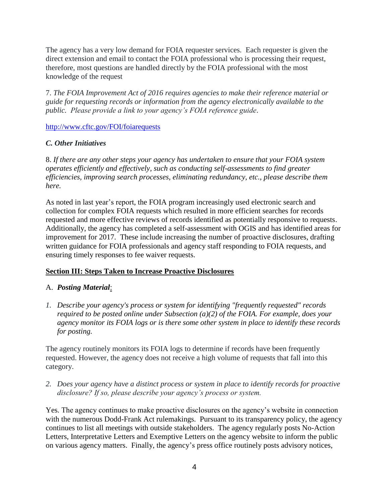The agency has a very low demand for FOIA requester services. Each requester is given the knowledge of the request direct extension and email to contact the FOIA professional who is processing their request, therefore, most questions are handled directly by the FOIA professional with the most

 *public. Please provide a link to your agency's FOIA reference guide*. 7. *The FOIA Improvement Act of 2016 requires agencies to make their reference material or guide for requesting records or information from the agency electronically available to the* 

<http://www.cftc.gov/FOI/foiarequests>

#### *C. Other Initiatives*

8. *If there are any other steps your agency has undertaken to ensure that your FOIA system operates efficiently and effectively, such as conducting self-assessments to find greater efficiencies, improving search processes, eliminating redundancy, etc., please describe them here.* 

 improvement for 2017. These include increasing the number of proactive disclosures, drafting As noted in last year's report, the FOIA program increasingly used electronic search and collection for complex FOIA requests which resulted in more efficient searches for records requested and more effective reviews of records identified as potentially responsive to requests. Additionally, the agency has completed a self-assessment with OGIS and has identified areas for written guidance for FOIA professionals and agency staff responding to FOIA requests, and ensuring timely responses to fee waiver requests.

#### **Section III: Steps Taken to Increase Proactive Disclosures**

#### A. *Posting Material*:

*1. Describe your agency's process or system for identifying "frequently requested" records required to be posted online under Subsection (a)(2) of the FOIA. For example, does your agency monitor its FOIA logs or is there some other system in place to identify these records for posting.* 

The agency routinely monitors its FOIA logs to determine if records have been frequently requested. However, the agency does not receive a high volume of requests that fall into this category.

*2. Does your agency have a distinct process or system in place to identify records for proactive disclosure? If so, please describe your agency's process or system.* 

 with the numerous Dodd-Frank Act rulemakings. Pursuant to its transparency policy, the agency Yes. The agency continues to make proactive disclosures on the agency's website in connection continues to list all meetings with outside stakeholders. The agency regularly posts No-Action Letters, Interpretative Letters and Exemptive Letters on the agency website to inform the public on various agency matters. Finally, the agency's press office routinely posts advisory notices,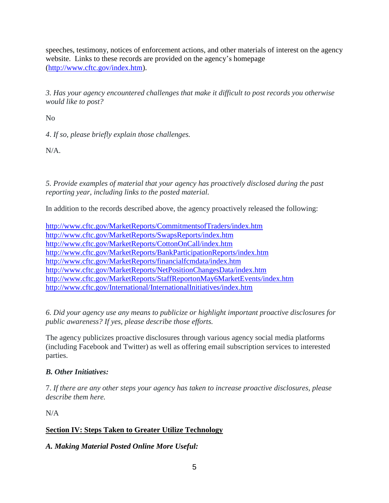speeches, testimony, notices of enforcement actions, and other materials of interest on the agency website. Links to these records are provided on the agency's homepage [\(http://www.cftc.gov/index.htm\)](http://www.cftc.gov/index.htm).

*3. Has your agency encountered challenges that make it difficult to post records you otherwise would like to post?* 

No

*4*. *If so, please briefly explain those challenges.* 

N/A.

*5. Provide examples of material that your agency has proactively disclosed during the past reporting year, including links to the posted material.* 

In addition to the records described above, the agency proactively released the following:

 <http://www.cftc.gov/International/InternationalInitiatives/index.htm><http://www.cftc.gov/MarketReports/CommitmentsofTraders/index.htm> <http://www.cftc.gov/MarketReports/SwapsReports/index.htm> <http://www.cftc.gov/MarketReports/CottonOnCall/index.htm> <http://www.cftc.gov/MarketReports/BankParticipationReports/index.htm> <http://www.cftc.gov/MarketReports/financialfcmdata/index.htm> <http://www.cftc.gov/MarketReports/NetPositionChangesData/index.htm> <http://www.cftc.gov/MarketReports/StaffReportonMay6MarketEvents/index.htm>

*6. Did your agency use any means to publicize or highlight important proactive disclosures for public awareness? If yes, please describe those efforts.* 

The agency publicizes proactive disclosures through various agency social media platforms (including Facebook and Twitter) as well as offering email subscription services to interested parties.

# *B. Other Initiatives:*

7. *If there are any other steps your agency has taken to increase proactive disclosures, please describe them here.* 

N/A

# **Section IV: Steps Taken to Greater Utilize Technology**

### *A. Making Material Posted Online More Useful:*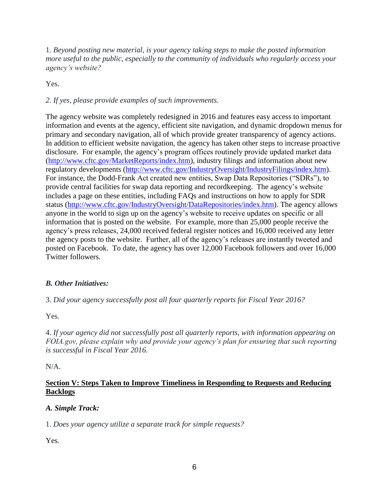1. *Beyond posting new material, is your agency taking steps to make the posted information more useful to the public, especially to the community of individuals who regularly access your agency's website?* 

Yes.

## *2. If yes, please provide examples of such improvements.*

 The agency website was completely redesigned in 2016 and features easy access to important primary and secondary navigation, all of which provide greater transparency of agency actions. In addition to efficient website navigation, the agency has taken other steps to increase proactive anyone in the world to sign up on the agency's website to receive updates on specific or all information that is posted on the website. For example, more than 25,000 people receive the the agency posts to the website. Further, all of the agency's releases are instantly tweeted and posted on Facebook. To date, the agency has over 12,000 Facebook followers and over 16,000 information and events at the agency, efficient site navigation, and dynamic dropdown menus for disclosure. For example, the agency's program offices routinely provide updated market data [\(http://www.cftc.gov/MarketReports/index.htm\)](http://www.cftc.gov/MarketReports/index.htm), industry filings and information about new regulatory developments [\(http://www.cftc.gov/IndustryOversight/IndustryFilings/index.htm\)](http://www.cftc.gov/IndustryOversight/IndustryFilings/index.htm). For instance, the Dodd-Frank Act created new entities, Swap Data Repositories ("SDRs"), to provide central facilities for swap data reporting and recordkeeping. The agency's website includes a page on these entities, including FAQs and instructions on how to apply for SDR status [\(http://www.cftc.gov/IndustryOversight/DataRepositories/index.htm\)](http://www.cftc.gov/IndustryOversight/DataRepositories/index.htm). The agency allows agency's press releases, 24,000 received federal register notices and 16,000 received any letter Twitter followers.

### *B. Other Initiatives:*

3. *Did your agency successfully post all four quarterly reports for Fiscal Year 2016?* 

Yes.

4. *If your agency did not successfully post all quarterly reports, with information appearing on FOIA.gov, please explain why and provide your agency's plan for ensuring that such reporting is successful in Fiscal Year 2016.* 

N/A.

#### **Section V: Steps Taken to Improve Timeliness in Responding to Requests and Reducing Backlogs**

### *A. Simple Track:*

1. *Does your agency utilize a separate track for simple requests?* 

Yes.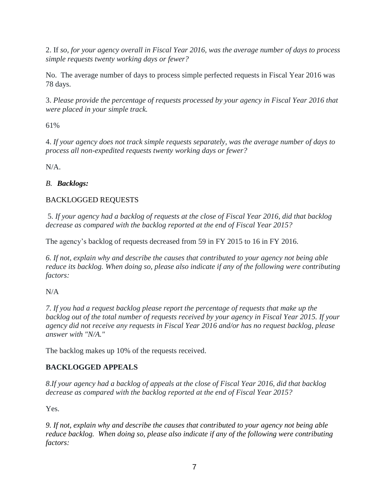2. If *so, for your agency overall in Fiscal Year 2016, was the average number of days to process simple requests twenty working days or fewer?* 

 No. The average number of days to process simple perfected requests in Fiscal Year 2016 was 78 days.

 3. *Please provide the percentage of requests processed by your agency in Fiscal Year 2016 that were placed in your simple track.* 

61%

4. *If your agency does not track simple requests separately, was the average number of days to process all non-expedited requests twenty working days or fewer?* 

N/A.

# *B. Backlogs:*

# BACKLOGGED REQUESTS

5. *If your agency had a backlog of requests at the close of Fiscal Year 2016, did that backlog decrease as compared with the backlog reported at the end of Fiscal Year 2015?* 

The agency's backlog of requests decreased from 59 in FY 2015 to 16 in FY 2016.

*6. If not, explain why and describe the causes that contributed to your agency not being able reduce its backlog. When doing so, please also indicate if any of the following were contributing factors:* 

N/A

*7. If you had a request backlog please report the percentage of requests that make up the backlog out of the total number of requests received by your agency in Fiscal Year 2015. If your agency did not receive any requests in Fiscal Year 2016 and/or has no request backlog, please answer with "N/A."* 

The backlog makes up 10% of the requests received.

# **BACKLOGGED APPEALS**

*8.If your agency had a backlog of appeals at the close of Fiscal Year 2016, did that backlog decrease as compared with the backlog reported at the end of Fiscal Year 2015?* 

Yes.

reduce backlog. When doing so, please also indicate if any of the following were contributing *9. If not, explain why and describe the causes that contributed to your agency not being able factors:*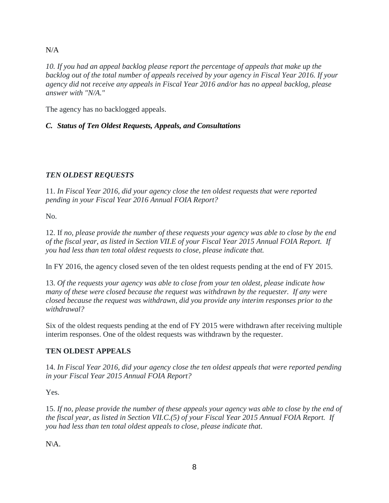#### N/A

*10. If you had an appeal backlog please report the percentage of appeals that make up the backlog out of the total number of appeals received by your agency in Fiscal Year 2016. If your agency did not receive any appeals in Fiscal Year 2016 and/or has no appeal backlog, please answer with "N/A."* 

The agency has no backlogged appeals.

## *C. Status of Ten Oldest Requests, Appeals, and Consultations*

# *TEN OLDEST REQUESTS*

11. *In Fiscal Year 2016, did your agency close the ten oldest requests that were reported pending in your Fiscal Year 2016 Annual FOIA Report?* 

No.

 *of the fiscal year, as listed in Section VII.E of your Fiscal Year 2015 Annual FOIA Report. If*  12. If *no, please provide the number of these requests your agency was able to close by the end you had less than ten total oldest requests to close, please indicate that.* 

In FY 2016, the agency closed seven of the ten oldest requests pending at the end of FY 2015.

 *many of these were closed because the request was withdrawn by the requester. If any were*  13. *Of the requests your agency was able to close from your ten oldest, please indicate how closed because the request was withdrawn, did you provide any interim responses prior to the withdrawal?* 

 Six of the oldest requests pending at the end of FY 2015 were withdrawn after receiving multiple interim responses. One of the oldest requests was withdrawn by the requester.

# **TEN OLDEST APPEALS**

14. *In Fiscal Year 2016, did your agency close the ten oldest appeals that were reported pending in your Fiscal Year 2015 Annual FOIA Report?* 

Yes.

 15. *If no, please provide the number of these appeals your agency was able to close by the end of the fiscal year, as listed in Section VII.C.(5) of your Fiscal Year 2015 Annual FOIA Report. If you had less than ten total oldest appeals to close, please indicate that*. N\A.